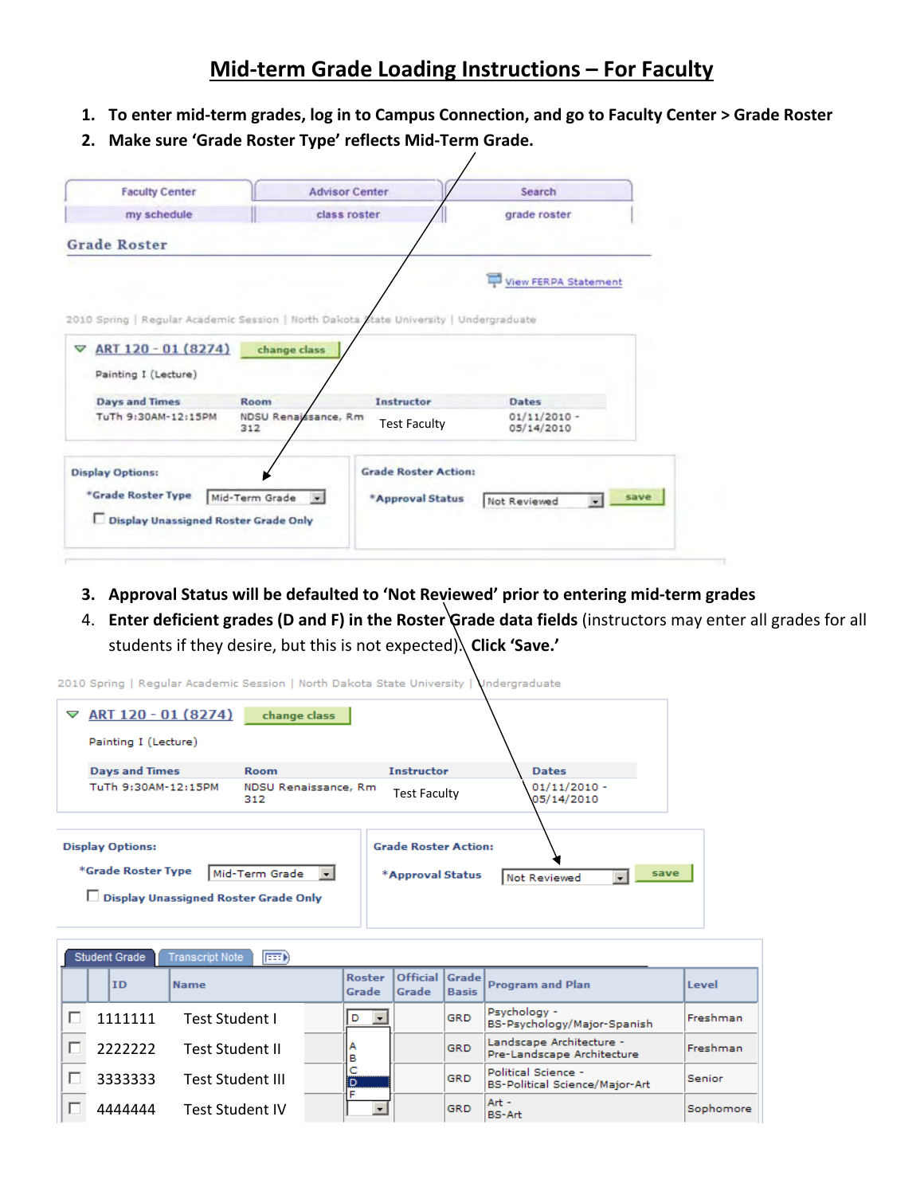## **Mid‐term Grade Loading Instructions – For Faculty**

- 1. To enter mid-term grades, log in to Campus Connection, and go to Faculty Center > Grade Roster
- **2. Make sure 'Grade Roster Type' reflects Mid‐Term Grade.**

| <b>Faculty Center</b>                | <b>Advisor Center</b>                                                                  | Search                         |
|--------------------------------------|----------------------------------------------------------------------------------------|--------------------------------|
| my schedule                          | class roster                                                                           | grade roster                   |
| <b>Grade Roster</b>                  |                                                                                        |                                |
|                                      |                                                                                        | View FERPA Statement           |
|                                      | 2010 Spring   Regular Academic Session   North Dakota Atate University   Undergraduate |                                |
| ART 120 - 01 (8274)<br>▽             | change class                                                                           |                                |
|                                      |                                                                                        |                                |
|                                      |                                                                                        |                                |
| Painting I (Lecture)                 |                                                                                        |                                |
| <b>Days and Times</b>                | Instructor<br>Room                                                                     | Dates                          |
| TuTh 9:30AM-12:15PM                  | NDSU Renaissance, Rm<br><b>Test Faculty</b><br>312                                     | $01/11/2010 -$<br>05/14/2010   |
|                                      |                                                                                        |                                |
| <b>Display Options:</b>              | <b>Grade Roster Action:</b>                                                            |                                |
| *Grade Roster Type                   | $\cdot$                                                                                | save                           |
| Display Unassigned Roster Grade Only | Mid-Term Grade<br>*Approval Status                                                     | Not Reviewed<br>$\overline{ }$ |

- **3. Approval Status will be defaulted to 'Not Reviewed' prior to entering mid‐term grades**
- 4. **Enter deficient grades (D and F) in the Roster Grade data fields** (instructors may enter all grades for all students if they desire, but this is not expected). **Click 'Save.'**

|                                                      | 2010 Spring   Regular Academic Session   North Dakota State University   Undergraduate |                             |                     |                              |  |
|------------------------------------------------------|----------------------------------------------------------------------------------------|-----------------------------|---------------------|------------------------------|--|
| ▽                                                    | ART 120 - 01 (8274)                                                                    | change class                |                     |                              |  |
|                                                      | Painting I (Lecture)                                                                   |                             |                     |                              |  |
|                                                      | <b>Days and Times</b>                                                                  | <b>Room</b>                 | <b>Instructor</b>   | <b>Dates</b>                 |  |
|                                                      | TuTh 9:30AM-12:15PM                                                                    | NDSU Renaissance, Rm<br>312 | <b>Test Faculty</b> | $01/11/2010 -$<br>05/14/2010 |  |
|                                                      |                                                                                        |                             |                     |                              |  |
| <b>Display Options:</b>                              |                                                                                        | <b>Grade Roster Action:</b> |                     |                              |  |
| *Grade Roster Type<br>Mid-Term Grade<br>$\mathbf{r}$ |                                                                                        |                             | *Approval Status    | save<br>Not Reviewed         |  |
|                                                      | Display Unassigned Roster Grade Only                                                   |                             |                     |                              |  |
|                                                      |                                                                                        |                             |                     |                              |  |

| <b>Transcript Note</b><br><b>Student Grade</b><br><b>FEED</b> |  |           |                  |  |                               |                          |                        |                                                        |           |
|---------------------------------------------------------------|--|-----------|------------------|--|-------------------------------|--------------------------|------------------------|--------------------------------------------------------|-----------|
|                                                               |  | <b>ID</b> | <b>Name</b>      |  | <b>Roster</b><br>Grade        | <b>Official</b><br>Grade | Grade <br><b>Basis</b> | <b>Program and Plan</b>                                | Level     |
|                                                               |  | 1111111   | Test Student I   |  | D<br>$\overline{\phantom{a}}$ |                          | GRD                    | Psychology -<br>BS-Psychology/Major-Spanish            | Freshman  |
|                                                               |  | 2222222   | Test Student II  |  | в                             |                          | <b>GRD</b>             | Landscape Architecture -<br>Pre-Landscape Architecture | Freshman  |
|                                                               |  | 3333333   | Test Student III |  | İD                            |                          | <b>GRD</b>             | Political Science -<br>BS-Political Science/Major-Art  | Senior    |
|                                                               |  | 4444444   | Test Student IV  |  |                               |                          | <b>GRD</b>             | Art -<br><b>BS-Art</b>                                 | Sophomore |